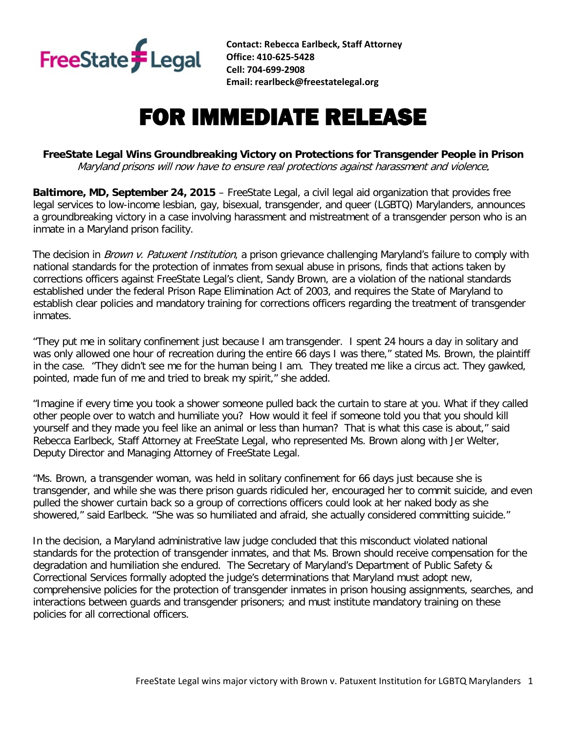

**Contact: Rebecca Earlbeck, Staff Attorney Office: 410-625-5428 Cell: 704-699-2908 Email: rearlbeck@freestatelegal.org**

## FOR IMMEDIATE RELEASE

**FreeState Legal Wins Groundbreaking Victory on Protections for Transgender People in Prison**  Maryland prisons will now have to ensure real protections against harassment and violence.

**Baltimore, MD, September 24, 2015** – FreeState Legal, a civil legal aid organization that provides free legal services to low-income lesbian, gay, bisexual, transgender, and queer (LGBTQ) Marylanders, announces a groundbreaking victory in a case involving harassment and mistreatment of a transgender person who is an inmate in a Maryland prison facility.

The decision in *Brown v. Patuxent Institution*, a prison grievance challenging Maryland's failure to comply with national standards for the protection of inmates from sexual abuse in prisons, finds that actions taken by corrections officers against FreeState Legal's client, Sandy Brown, are a violation of the national standards established under the federal Prison Rape Elimination Act of 2003, and requires the State of Maryland to establish clear policies and mandatory training for corrections officers regarding the treatment of transgender inmates.

"They put me in solitary confinement just because I am transgender. I spent 24 hours a day in solitary and was only allowed one hour of recreation during the entire 66 days I was there," stated Ms. Brown, the plaintiff in the case. "They didn't see me for the human being I am. They treated me like a circus act. They gawked, pointed, made fun of me and tried to break my spirit," she added.

"Imagine if every time you took a shower someone pulled back the curtain to stare at you. What if they called other people over to watch and humiliate you? How would it feel if someone told you that you should kill yourself and they made you feel like an animal or less than human? That is what this case is about," said Rebecca Earlbeck, Staff Attorney at FreeState Legal, who represented Ms. Brown along with Jer Welter, Deputy Director and Managing Attorney of FreeState Legal.

"Ms. Brown, a transgender woman, was held in solitary confinement for 66 days just because she is transgender, and while she was there prison guards ridiculed her, encouraged her to commit suicide, and even pulled the shower curtain back so a group of corrections officers could look at her naked body as she showered," said Earlbeck. "She was so humiliated and afraid, she actually considered committing suicide."

In the decision, a Maryland administrative law judge concluded that this misconduct violated national standards for the protection of transgender inmates, and that Ms. Brown should receive compensation for the degradation and humiliation she endured. The Secretary of Maryland's Department of Public Safety & Correctional Services formally adopted the judge's determinations that Maryland must adopt new, comprehensive policies for the protection of transgender inmates in prison housing assignments, searches, and interactions between guards and transgender prisoners; and must institute mandatory training on these policies for all correctional officers.